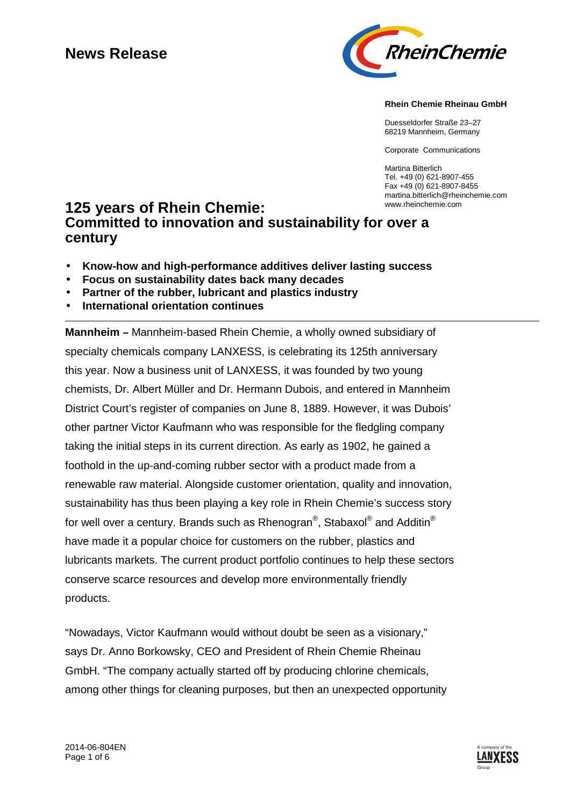# **News Release**



**Rhein Chemie Rheinau GmbH**

Duesseldorfer Straße 23–27 68219 Mannheim, Germany

Corporate Communications

Martina Bitterlich Tel. +49 (0) 621-8907-455 Fax +49 (0) 621-8907-8455 martina.bitterlich@rheinchemie.com

# **125 years of Rhein Chemie: Committed to innovation and sustainability for over a century**

- **Know-how and high-performance additives deliver lasting success**
- **Focus on sustainability dates back many decades**
- **Partner of the rubber, lubricant and plastics industry**
- **International orientation continues**

**Mannheim –** Mannheim-based Rhein Chemie, a wholly owned subsidiary of specialty chemicals company LANXESS, is celebrating its 125th anniversary this year. Now a business unit of LANXESS, it was founded by two young chemists, Dr. Albert Müller and Dr. Hermann Dubois, and entered in Mannheim District Court's register of companies on June 8, 1889. However, it was Dubois' other partner Victor Kaufmann who was responsible for the fledgling company taking the initial steps in its current direction. As early as 1902, he gained a foothold in the up-and-coming rubber sector with a product made from a renewable raw material. Alongside customer orientation, quality and innovation, sustainability has thus been playing a key role in Rhein Chemie's success story for well over a century. Brands such as Rhenogran $^\circ$ , Stabaxol $^\circ$  and Additin $^\circ$ have made it a popular choice for customers on the rubber, plastics and lubricants markets. The current product portfolio continues to help these sectors conserve scarce resources and develop more environmentally friendly products.

"Nowadays, Victor Kaufmann would without doubt be seen as a visionary," says Dr. Anno Borkowsky, CEO and President of Rhein Chemie Rheinau GmbH. "The company actually started off by producing chlorine chemicals, among other things for cleaning purposes, but then an unexpected opportunity

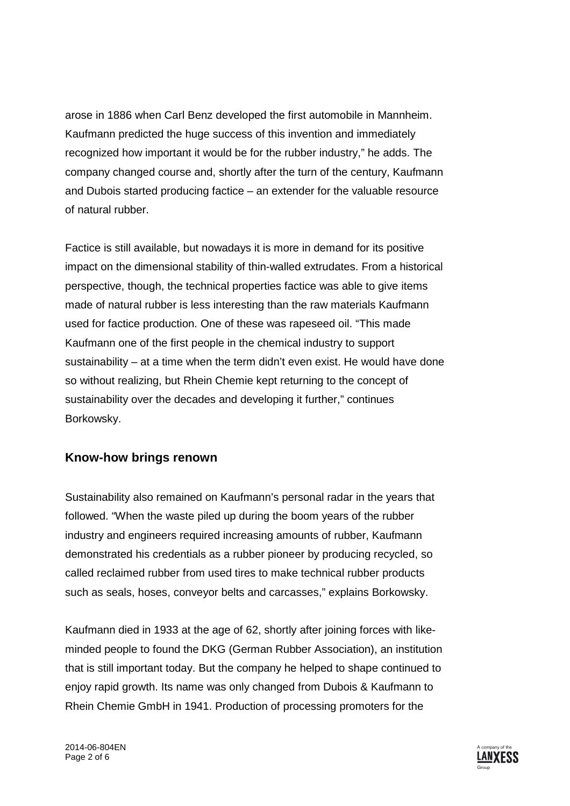arose in 1886 when Carl Benz developed the first automobile in Mannheim. Kaufmann predicted the huge success of this invention and immediately recognized how important it would be for the rubber industry," he adds. The company changed course and, shortly after the turn of the century, Kaufmann and Dubois started producing factice – an extender for the valuable resource of natural rubber.

Factice is still available, but nowadays it is more in demand for its positive impact on the dimensional stability of thin-walled extrudates. From a historical perspective, though, the technical properties factice was able to give items made of natural rubber is less interesting than the raw materials Kaufmann used for factice production. One of these was rapeseed oil. "This made Kaufmann one of the first people in the chemical industry to support sustainability – at a time when the term didn't even exist. He would have done so without realizing, but Rhein Chemie kept returning to the concept of sustainability over the decades and developing it further," continues Borkowsky.

### **Know-how brings renown**

Sustainability also remained on Kaufmann's personal radar in the years that followed. "When the waste piled up during the boom years of the rubber industry and engineers required increasing amounts of rubber, Kaufmann demonstrated his credentials as a rubber pioneer by producing recycled, so called reclaimed rubber from used tires to make technical rubber products such as seals, hoses, conveyor belts and carcasses," explains Borkowsky.

Kaufmann died in 1933 at the age of 62, shortly after joining forces with likeminded people to found the DKG (German Rubber Association), an institution that is still important today. But the company he helped to shape continued to enjoy rapid growth. Its name was only changed from Dubois & Kaufmann to Rhein Chemie GmbH in 1941. Production of processing promoters for the

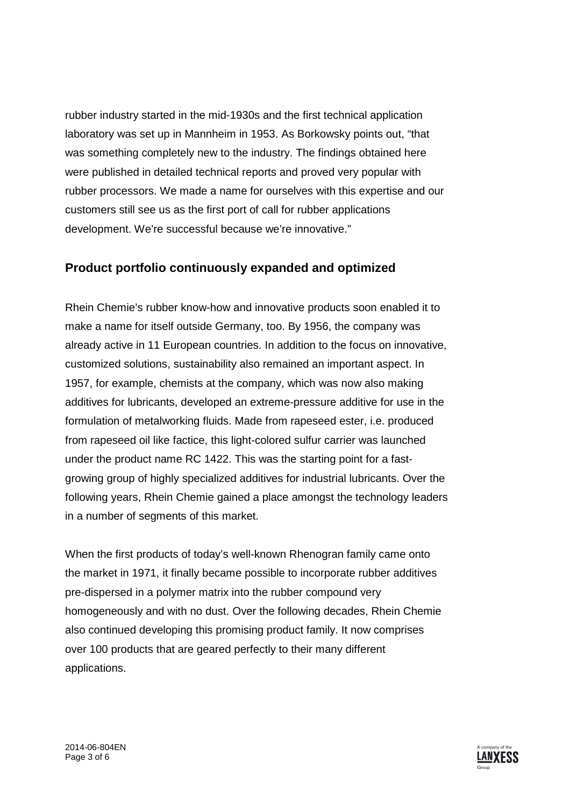rubber industry started in the mid-1930s and the first technical application laboratory was set up in Mannheim in 1953. As Borkowsky points out, "that was something completely new to the industry. The findings obtained here were published in detailed technical reports and proved very popular with rubber processors. We made a name for ourselves with this expertise and our customers still see us as the first port of call for rubber applications development. We're successful because we're innovative."

### **Product portfolio continuously expanded and optimized**

Rhein Chemie's rubber know-how and innovative products soon enabled it to make a name for itself outside Germany, too. By 1956, the company was already active in 11 European countries. In addition to the focus on innovative, customized solutions, sustainability also remained an important aspect. In 1957, for example, chemists at the company, which was now also making additives for lubricants, developed an extreme-pressure additive for use in the formulation of metalworking fluids. Made from rapeseed ester, i.e. produced from rapeseed oil like factice, this light-colored sulfur carrier was launched under the product name RC 1422. This was the starting point for a fastgrowing group of highly specialized additives for industrial lubricants. Over the following years, Rhein Chemie gained a place amongst the technology leaders in a number of segments of this market.

When the first products of today's well-known Rhenogran family came onto the market in 1971, it finally became possible to incorporate rubber additives pre-dispersed in a polymer matrix into the rubber compound very homogeneously and with no dust. Over the following decades, Rhein Chemie also continued developing this promising product family. It now comprises over 100 products that are geared perfectly to their many different applications.

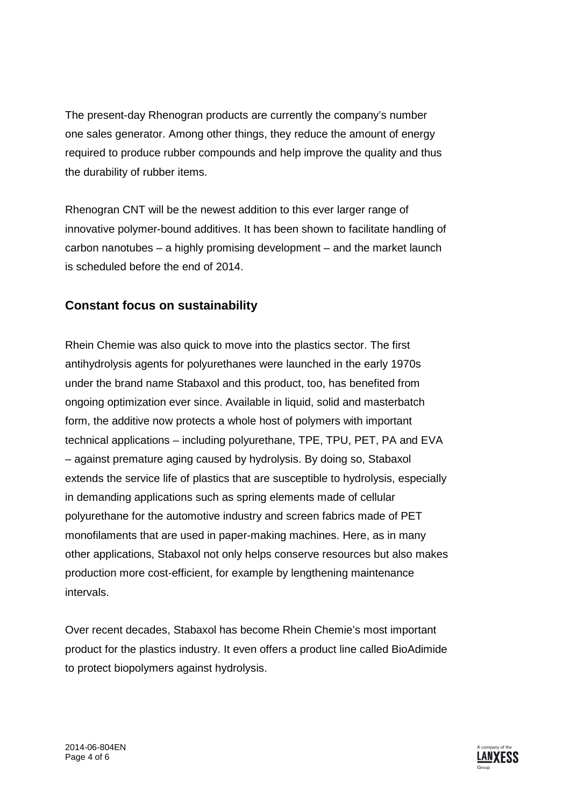The present-day Rhenogran products are currently the company's number one sales generator. Among other things, they reduce the amount of energy required to produce rubber compounds and help improve the quality and thus the durability of rubber items.

Rhenogran CNT will be the newest addition to this ever larger range of innovative polymer-bound additives. It has been shown to facilitate handling of carbon nanotubes – a highly promising development – and the market launch is scheduled before the end of 2014.

## **Constant focus on sustainability**

Rhein Chemie was also quick to move into the plastics sector. The first antihydrolysis agents for polyurethanes were launched in the early 1970s under the brand name Stabaxol and this product, too, has benefited from ongoing optimization ever since. Available in liquid, solid and masterbatch form, the additive now protects a whole host of polymers with important technical applications – including polyurethane, TPE, TPU, PET, PA and EVA – against premature aging caused by hydrolysis. By doing so, Stabaxol extends the service life of plastics that are susceptible to hydrolysis, especially in demanding applications such as spring elements made of cellular polyurethane for the automotive industry and screen fabrics made of PET monofilaments that are used in paper-making machines. Here, as in many other applications, Stabaxol not only helps conserve resources but also makes production more cost-efficient, for example by lengthening maintenance intervals.

Over recent decades, Stabaxol has become Rhein Chemie's most important product for the plastics industry. It even offers a product line called BioAdimide to protect biopolymers against hydrolysis.

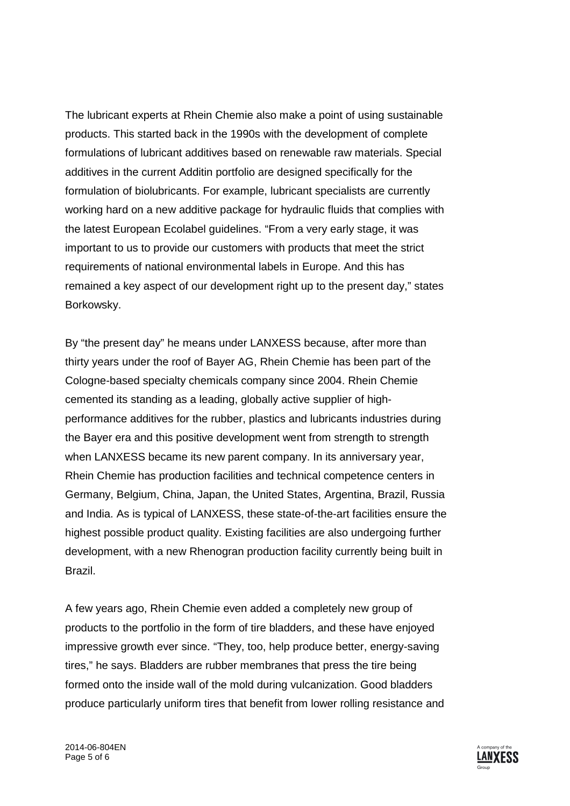The lubricant experts at Rhein Chemie also make a point of using sustainable products. This started back in the 1990s with the development of complete formulations of lubricant additives based on renewable raw materials. Special additives in the current Additin portfolio are designed specifically for the formulation of biolubricants. For example, lubricant specialists are currently working hard on a new additive package for hydraulic fluids that complies with the latest European Ecolabel guidelines. "From a very early stage, it was important to us to provide our customers with products that meet the strict requirements of national environmental labels in Europe. And this has remained a key aspect of our development right up to the present day," states Borkowsky.

By "the present day" he means under LANXESS because, after more than thirty years under the roof of Bayer AG, Rhein Chemie has been part of the Cologne-based specialty chemicals company since 2004. Rhein Chemie cemented its standing as a leading, globally active supplier of highperformance additives for the rubber, plastics and lubricants industries during the Bayer era and this positive development went from strength to strength when LANXESS became its new parent company. In its anniversary year, Rhein Chemie has production facilities and technical competence centers in Germany, Belgium, China, Japan, the United States, Argentina, Brazil, Russia and India. As is typical of LANXESS, these state-of-the-art facilities ensure the highest possible product quality. Existing facilities are also undergoing further development, with a new Rhenogran production facility currently being built in Brazil.

A few years ago, Rhein Chemie even added a completely new group of products to the portfolio in the form of tire bladders, and these have enjoyed impressive growth ever since. "They, too, help produce better, energy-saving tires," he says. Bladders are rubber membranes that press the tire being formed onto the inside wall of the mold during vulcanization. Good bladders produce particularly uniform tires that benefit from lower rolling resistance and